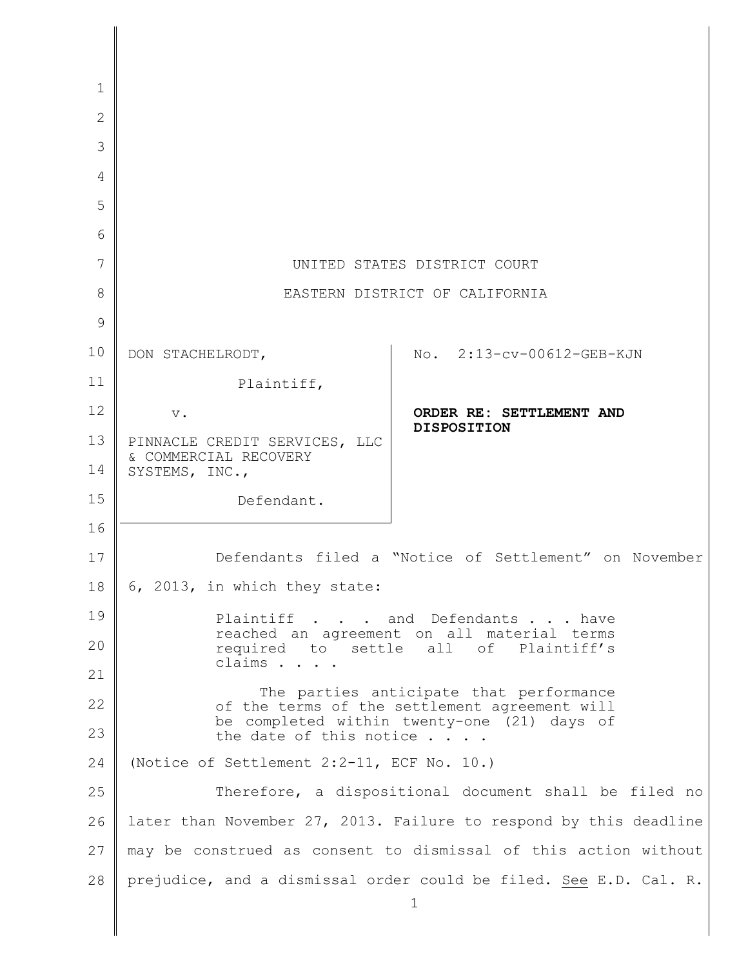| 1            |                                                                                          |
|--------------|------------------------------------------------------------------------------------------|
| $\mathbf{2}$ |                                                                                          |
| 3            |                                                                                          |
| 4            |                                                                                          |
| 5            |                                                                                          |
| 6            |                                                                                          |
| 7            | UNITED STATES DISTRICT COURT                                                             |
| 8            | EASTERN DISTRICT OF CALIFORNIA                                                           |
| 9            |                                                                                          |
| 10           | No. 2:13-cv-00612-GEB-KJN<br>DON STACHELRODT,                                            |
| 11           | Plaintiff,                                                                               |
| 12           | ORDER RE: SETTLEMENT AND<br>$\mathbf v$ .                                                |
| 13           | <b>DISPOSITION</b><br>PINNACLE CREDIT SERVICES, LLC                                      |
| 14           | & COMMERCIAL RECOVERY<br>SYSTEMS, INC.,                                                  |
| 15           | Defendant.                                                                               |
| 16           |                                                                                          |
| 17           | Defendants filed a "Notice of Settlement" on November                                    |
| 18           | 6, 2013, in which they state:                                                            |
| 19           | Plaintiff and Defendants have                                                            |
| 20           | reached an agreement on all material terms<br>settle all of Plaintiff's<br>required to   |
| 21           | claims                                                                                   |
| 22           | The parties anticipate that performance<br>of the terms of the settlement agreement will |
| 23           | be completed within twenty-one (21) days of<br>the date of this notice $\ldots$ .        |
| 24           | (Notice of Settlement 2:2-11, ECF No. 10.)                                               |
| 25           | Therefore, a dispositional document shall be filed no                                    |
| 26           | later than November 27, 2013. Failure to respond by this deadline                        |
| 27           | may be construed as consent to dismissal of this action without                          |
| 28           | prejudice, and a dismissal order could be filed. See E.D. Cal. R.<br>1                   |